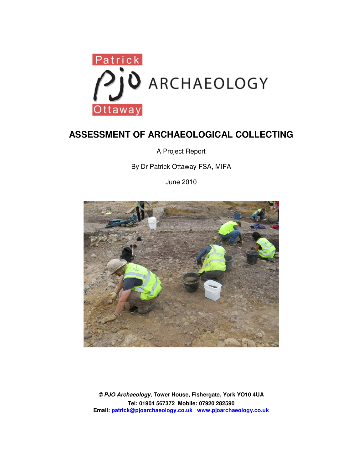

# **ASSESSMENT OF ARCHAEOLOGICAL COLLECTING**

A Project Report

By Dr Patrick Ottaway FSA, MIFA

June 2010



**© PJO Archaeology, Tower House, Fishergate, York YO10 4UA Tel: 01904 567372 Mobile: 07920 282590 Email: patrick@pjoarchaeology.co.uk www.pjoarchaeology.co.uk**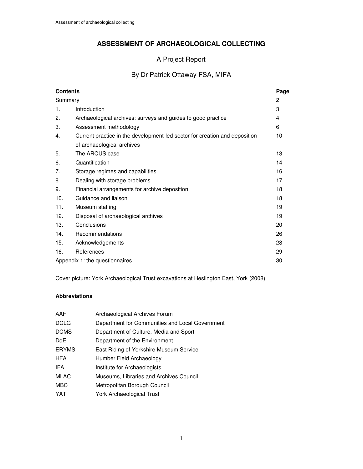# **ASSESSMENT OF ARCHAEOLOGICAL COLLECTING**

# A Project Report

# By Dr Patrick Ottaway FSA, MIFA

| <b>Contents</b>                |                                                                            | Page |
|--------------------------------|----------------------------------------------------------------------------|------|
| Summary                        |                                                                            | 2    |
| 1.                             | Introduction                                                               | 3    |
| 2.                             | Archaeological archives: surveys and guides to good practice               | 4    |
| 3.                             | Assessment methodology                                                     | 6    |
| 4.                             | Current practice in the development-led sector for creation and deposition | 10   |
|                                | of archaeological archives                                                 |      |
| 5.                             | The ARCUS case                                                             | 13   |
| 6.                             | Quantification                                                             | 14   |
| 7.                             | Storage regimes and capabilities                                           | 16   |
| 8.                             | Dealing with storage problems                                              | 17   |
| 9.                             | Financial arrangements for archive deposition                              | 18   |
| 10.                            | Guidance and liaison                                                       | 18   |
| 11.                            | Museum staffing                                                            | 19   |
| 12.                            | Disposal of archaeological archives                                        | 19   |
| 13.                            | Conclusions                                                                | 20   |
| 14.                            | Recommendations                                                            | 26   |
| 15.                            | Acknowledgements                                                           | 28   |
| 16.                            | References                                                                 | 29   |
| Appendix 1: the questionnaires |                                                                            |      |

Cover picture: York Archaeological Trust excavations at Heslington East, York (2008)

### **Abbreviations**

| AAF          | Archaeological Archives Forum                   |
|--------------|-------------------------------------------------|
| <b>DCLG</b>  | Department for Communities and Local Government |
| <b>DCMS</b>  | Department of Culture, Media and Sport          |
| DoE          | Department of the Environment                   |
| <b>ERYMS</b> | East Riding of Yorkshire Museum Service         |
| <b>HFA</b>   | Humber Field Archaeology                        |
| IFA          | Institute for Archaeologists                    |
| <b>MLAC</b>  | Museums, Libraries and Archives Council         |
| MBC          | Metropolitan Borough Council                    |
| YAT          | <b>York Archaeological Trust</b>                |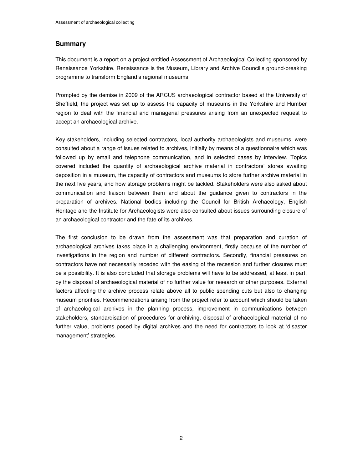### **Summary**

This document is a report on a project entitled Assessment of Archaeological Collecting sponsored by Renaissance Yorkshire. Renaissance is the Museum, Library and Archive Council's ground-breaking programme to transform England's regional museums.

Prompted by the demise in 2009 of the ARCUS archaeological contractor based at the University of Sheffield, the project was set up to assess the capacity of museums in the Yorkshire and Humber region to deal with the financial and managerial pressures arising from an unexpected request to accept an archaeological archive.

Key stakeholders, including selected contractors, local authority archaeologists and museums, were consulted about a range of issues related to archives, initially by means of a questionnaire which was followed up by email and telephone communication, and in selected cases by interview. Topics covered included the quantity of archaeological archive material in contractors' stores awaiting deposition in a museum, the capacity of contractors and museums to store further archive material in the next five years, and how storage problems might be tackled. Stakeholders were also asked about communication and liaison between them and about the guidance given to contractors in the preparation of archives. National bodies including the Council for British Archaeology, English Heritage and the Institute for Archaeologists were also consulted about issues surrounding closure of an archaeological contractor and the fate of its archives.

The first conclusion to be drawn from the assessment was that preparation and curation of archaeological archives takes place in a challenging environment, firstly because of the number of investigations in the region and number of different contractors. Secondly, financial pressures on contractors have not necessarily receded with the easing of the recession and further closures must be a possibility. It is also concluded that storage problems will have to be addressed, at least in part, by the disposal of archaeological material of no further value for research or other purposes. External factors affecting the archive process relate above all to public spending cuts but also to changing museum priorities. Recommendations arising from the project refer to account which should be taken of archaeological archives in the planning process, improvement in communications between stakeholders, standardisation of procedures for archiving, disposal of archaeological material of no further value, problems posed by digital archives and the need for contractors to look at 'disaster management' strategies.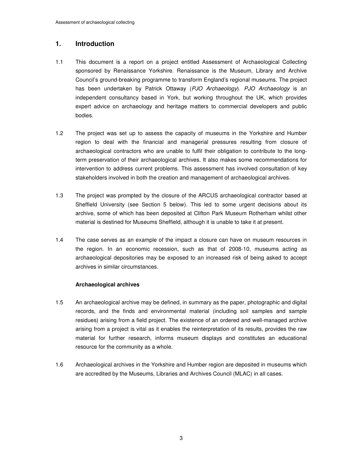# **1. Introduction**

- 1.1 This document is a report on a project entitled Assessment of Archaeological Collecting sponsored by Renaissance Yorkshire. Renaissance is the Museum, Library and Archive Council's ground-breaking programme to transform England's regional museums. The project has been undertaken by Patrick Ottaway (PJO Archaeology). PJO Archaeology is an independent consultancy based in York, but working throughout the UK, which provides expert advice on archaeology and heritage matters to commercial developers and public bodies.
- 1.2 The project was set up to assess the capacity of museums in the Yorkshire and Humber region to deal with the financial and managerial pressures resulting from closure of archaeological contractors who are unable to fulfil their obligation to contribute to the longterm preservation of their archaeological archives. It also makes some recommendations for intervention to address current problems. This assessment has involved consultation of key stakeholders involved in both the creation and management of archaeological archives.
- 1.3 The project was prompted by the closure of the ARCUS archaeological contractor based at Sheffield University (see Section 5 below). This led to some urgent decisions about its archive, some of which has been deposited at Clifton Park Museum Rotherham whilst other material is destined for Museums Sheffield, although it is unable to take it at present.
- 1.4 The case serves as an example of the impact a closure can have on museum resources in the region. In an economic recession, such as that of 2008-10, museums acting as archaeological depositories may be exposed to an increased risk of being asked to accept archives in similar circumstances.

#### **Archaeological archives**

- 1.5 An archaeological archive may be defined, in summary as the paper, photographic and digital records, and the finds and environmental material (including soil samples and sample residues) arising from a field project. The existence of an ordered and well-managed archive arising from a project is vital as it enables the reinterpretation of its results, provides the raw material for further research, informs museum displays and constitutes an educational resource for the community as a whole.
- 1.6 Archaeological archives in the Yorkshire and Humber region are deposited in museums which are accredited by the Museums, Libraries and Archives Council (MLAC) in all cases.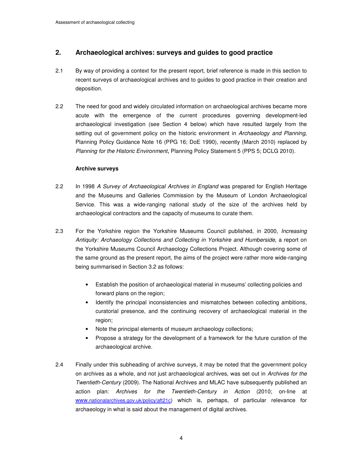# **2. Archaeological archives: surveys and guides to good practice**

- 2.1 By way of providing a context for the present report, brief reference is made in this section to recent surveys of archaeological archives and to guides to good practice in their creation and deposition.
- 2.2 The need for good and widely circulated information on archaeological archives became more acute with the emergence of the current procedures governing development-led archaeological investigation (see Section 4 below) which have resulted largely from the setting out of government policy on the historic environment in Archaeology and Planning, Planning Policy Guidance Note 16 (PPG 16; DoE 1990), recently (March 2010) replaced by Planning for the Historic Environment, Planning Policy Statement 5 (PPS 5; DCLG 2010).

#### **Archive surveys**

- 2.2 In 1998 A Survey of Archaeological Archives in England was prepared for English Heritage and the Museums and Galleries Commission by the Museum of London Archaeological Service. This was a wide-ranging national study of the size of the archives held by archaeological contractors and the capacity of museums to curate them.
- 2.3 For the Yorkshire region the Yorkshire Museums Council published, in 2000, Increasing Antiquity: Archaeology Collections and Collecting in Yorkshire and Humberside, a report on the Yorkshire Museums Council Archaeology Collections Project. Although covering some of the same ground as the present report, the aims of the project were rather more wide-ranging being summarised in Section 3.2 as follows:
	- Establish the position of archaeological material in museums' collecting policies and forward plans on the region;
	- Identify the principal inconsistencies and mismatches between collecting ambitions, curatorial presence, and the continuing recovery of archaeological material in the region;
	- Note the principal elements of museum archaeology collections;
	- Propose a strategy for the development of a framework for the future curation of the archaeological archive.
- 2.4 Finally under this subheading of archive surveys, it may be noted that the government policy on archives as a whole, and not just archaeological archives, was set out in Archives for the Twentieth-Century (2009). The National Archives and MLAC have subsequently published an action plan: Archives for the Twentieth-Century in Action (2010; on-line at www.nationalarchives.gov.uk/policy/aft21c) which is, perhaps, of particular relevance for archaeology in what is said about the management of digital archives.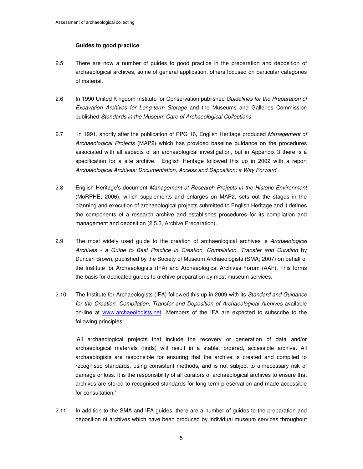#### **Guides to good practice**

- 2.5 There are now a number of guides to good practice in the preparation and deposition of archaeological archives, some of general application, others focused on particular categories of material.
- 2.6 In 1990 United Kingdom Institute for Conservation published Guidelines for the Preparation of Excavation Archives for Long-term Storage and the Museums and Galleries Commission published Standards in the Museum Care of Archaeological Collections.
- 2.7 In 1991, shortly after the publication of PPG 16, English Heritage produced Management of Archaeological Projects (MAP2) which has provided baseline guidance on the procedures associated with all aspects of an archaeological investigation, but in Appendix 3 there is a specification for a site archive. English Heritage followed this up in 2002 with a report Archaeological Archives: Documentation, Access and Deposition: a Way Forward.
- 2.8 English Heritage's document Management of Research Projects in the Historic Environment (MoRPHE; 2006), which supplements and enlarges on MAP2, sets out the stages in the planning and execution of archaeological projects submitted to English Heritage and it defines the components of a research archive and establishes procedures for its compilation and management and deposition (2.5.3, Archive Preparation).
- 2.9 The most widely used guide to the creation of archaeological archives is Archaeological Archives - a Guide to Best Practice in Creation, Compilation, Transfer and Curation by Duncan Brown, published by the Society of Museum Archaeologists (SMA; 2007) on behalf of the Institute for Archaeologists (IFA) and Archaeological Archives Forum (AAF). This forms the basis for dedicated guides to archive preparation by most museum services.
- 2.10 The Institute for Archaeologists (IFA) followed this up in 2009 with its Standard and Guidance for the Creation, Compilation, Transfer and Deposition of Archaeological Archives available on-line at www.archaeologists.net. Members of the IFA are expected to subscribe to the following principles:

'All archaeological projects that include the recovery or generation of data and/or archaeological materials (finds) will result in a stable, ordered, accessible archive. All archaeologists are responsible for ensuring that the archive is created and compiled to recognised standards, using consistent methods, and is not subject to unnecessary risk of damage or loss. It is the responsibility of all curators of archaeological archives to ensure that archives are stored to recognised standards for long-term preservation and made accessible for consultation.'

2.11 In addition to the SMA and IFA guides, there are a number of guides to the preparation and deposition of archives which have been produced by individual museum services throughout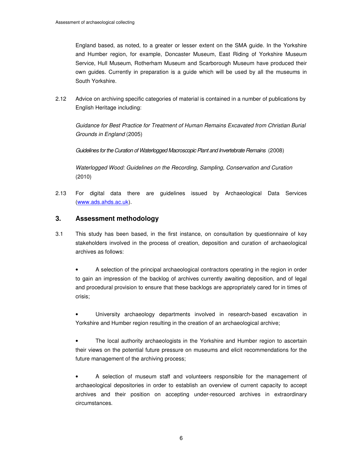England based, as noted, to a greater or lesser extent on the SMA guide. In the Yorkshire and Humber region, for example, Doncaster Museum, East Riding of Yorkshire Museum Service, Hull Museum, Rotherham Museum and Scarborough Museum have produced their own guides. Currently in preparation is a guide which will be used by all the museums in South Yorkshire.

2.12 Advice on archiving specific categories of material is contained in a number of publications by English Heritage including:

Guidance for Best Practice for Treatment of Human Remains Excavated from Christian Burial Grounds in England (2005)

Guidelines for the Curation of Waterlogged Macroscopic Plant and Invertebrate Remains (2008)

Waterlogged Wood: Guidelines on the Recording, Sampling, Conservation and Curation (2010)

2.13 For digital data there are guidelines issued by Archaeological Data Services (www.ads.ahds.ac.uk).

# **3. Assessment methodology**

3.1 This study has been based, in the first instance, on consultation by questionnaire of key stakeholders involved in the process of creation, deposition and curation of archaeological archives as follows:

• A selection of the principal archaeological contractors operating in the region in order to gain an impression of the backlog of archives currently awaiting deposition, and of legal and procedural provision to ensure that these backlogs are appropriately cared for in times of crisis;

• University archaeology departments involved in research-based excavation in Yorkshire and Humber region resulting in the creation of an archaeological archive;

The local authority archaeologists in the Yorkshire and Humber region to ascertain their views on the potential future pressure on museums and elicit recommendations for the future management of the archiving process;

• A selection of museum staff and volunteers responsible for the management of archaeological depositories in order to establish an overview of current capacity to accept archives and their position on accepting under-resourced archives in extraordinary circumstances.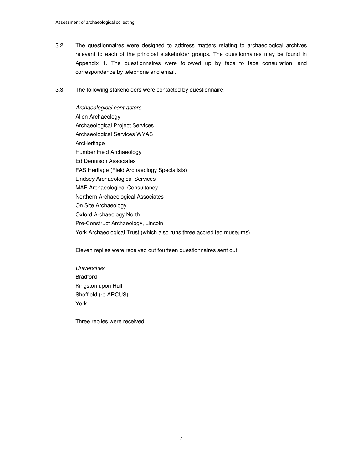- 3.2 The questionnaires were designed to address matters relating to archaeological archives relevant to each of the principal stakeholder groups. The questionnaires may be found in Appendix 1. The questionnaires were followed up by face to face consultation, and correspondence by telephone and email.
- 3.3 The following stakeholders were contacted by questionnaire:

Archaeological contractors Allen Archaeology Archaeological Project Services Archaeological Services WYAS ArcHeritage Humber Field Archaeology Ed Dennison Associates FAS Heritage (Field Archaeology Specialists) Lindsey Archaeological Services MAP Archaeological Consultancy Northern Archaeological Associates On Site Archaeology Oxford Archaeology North Pre-Construct Archaeology, Lincoln York Archaeological Trust (which also runs three accredited museums)

Eleven replies were received out fourteen questionnaires sent out.

**Universities** Bradford Kingston upon Hull Sheffield (re ARCUS) York

Three replies were received.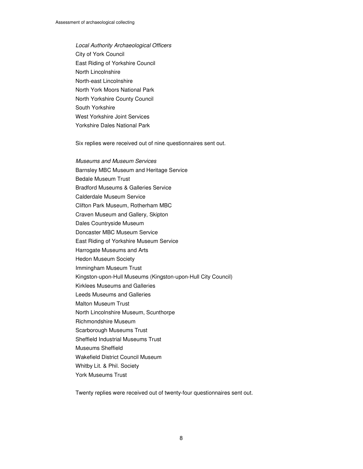Local Authority Archaeological Officers City of York Council East Riding of Yorkshire Council North Lincolnshire North-east Lincolnshire North York Moors National Park North Yorkshire County Council South Yorkshire West Yorkshire Joint Services Yorkshire Dales National Park

Six replies were received out of nine questionnaires sent out.

Museums and Museum Services Barnsley MBC Museum and Heritage Service Bedale Museum Trust Bradford Museums & Galleries Service Calderdale Museum Service Clifton Park Museum, Rotherham MBC Craven Museum and Gallery, Skipton Dales Countryside Museum Doncaster MBC Museum Service East Riding of Yorkshire Museum Service Harrogate Museums and Arts Hedon Museum Society Immingham Museum Trust Kingston-upon-Hull Museums (Kingston-upon-Hull City Council) Kirklees Museums and Galleries Leeds Museums and Galleries Malton Museum Trust North Lincolnshire Museum, Scunthorpe Richmondshire Museum Scarborough Museums Trust Sheffield Industrial Museums Trust Museums Sheffield Wakefield District Council Museum Whitby Lit. & Phil. Society York Museums Trust

Twenty replies were received out of twenty-four questionnaires sent out.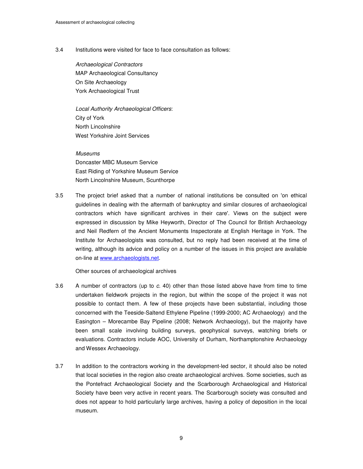3.4 Institutions were visited for face to face consultation as follows:

Archaeological Contractors MAP Archaeological Consultancy On Site Archaeology York Archaeological Trust

Local Authority Archaeological Officers: City of York North Lincolnshire West Yorkshire Joint Services

Museums Doncaster MBC Museum Service East Riding of Yorkshire Museum Service North Lincolnshire Museum, Scunthorpe

3.5 The project brief asked that a number of national institutions be consulted on 'on ethical guidelines in dealing with the aftermath of bankruptcy and similar closures of archaeological contractors which have significant archives in their care'. Views on the subject were expressed in discussion by Mike Heyworth, Director of The Council for British Archaeology and Neil Redfern of the Ancient Monuments Inspectorate at English Heritage in York. The Institute for Archaeologists was consulted, but no reply had been received at the time of writing, although its advice and policy on a number of the issues in this project are available on-line at www.archaeologists.net.

Other sources of archaeological archives

- 3.6 A number of contractors (up to c. 40) other than those listed above have from time to time undertaken fieldwork projects in the region, but within the scope of the project it was not possible to contact them. A few of these projects have been substantial, including those concerned with the Teeside-Saltend Ethylene Pipeline (1999-2000; AC Archaeology) and the Easington – Morecambe Bay Pipeline (2008; Network Archaeology), but the majority have been small scale involving building surveys, geophysical surveys, watching briefs or evaluations. Contractors include AOC, University of Durham, Northamptonshire Archaeology and Wessex Archaeology.
- 3.7 In addition to the contractors working in the development-led sector, it should also be noted that local societies in the region also create archaeological archives. Some societies, such as the Pontefract Archaeological Society and the Scarborough Archaeological and Historical Society have been very active in recent years. The Scarborough society was consulted and does not appear to hold particularly large archives, having a policy of deposition in the local museum.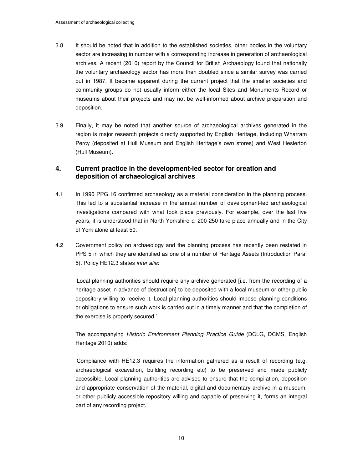- 3.8 It should be noted that in addition to the established societies, other bodies in the voluntary sector are increasing in number with a corresponding increase in generation of archaeological archives. A recent (2010) report by the Council for British Archaeology found that nationally the voluntary archaeology sector has more than doubled since a similar survey was carried out in 1987. It became apparent during the current project that the smaller societies and community groups do not usually inform either the local Sites and Monuments Record or museums about their projects and may not be well-informed about archive preparation and deposition.
- 3.9 Finally, it may be noted that another source of archaeological archives generated in the region is major research projects directly supported by English Heritage, including Wharram Percy (deposited at Hull Museum and English Heritage's own stores) and West Heslerton (Hull Museum).

## **4. Current practice in the development-led sector for creation and deposition of archaeological archives**

- 4.1 In 1990 PPG 16 confirmed archaeology as a material consideration in the planning process. This led to a substantial increase in the annual number of development-led archaeological investigations compared with what took place previously. For example, over the last five years, it is understood that in North Yorkshire c. 200-250 take place annually and in the City of York alone at least 50.
- 4.2 Government policy on archaeology and the planning process has recently been restated in PPS 5 in which they are identified as one of a number of Heritage Assets (Introduction Para. 5). Policy HE12.3 states inter alia:

'Local planning authorities should require any archive generated [i.e. from the recording of a heritage asset in advance of destruction] to be deposited with a local museum or other public depository willing to receive it. Local planning authorities should impose planning conditions or obligations to ensure such work is carried out in a timely manner and that the completion of the exercise is properly secured.'

The accompanying Historic Environment Planning Practice Guide (DCLG, DCMS, English Heritage 2010) adds:

'Compliance with HE12.3 requires the information gathered as a result of recording (e.g. archaeological excavation, building recording etc) to be preserved and made publicly accessible. Local planning authorities are advised to ensure that the compilation, deposition and appropriate conservation of the material, digital and documentary archive in a museum, or other publicly accessible repository willing and capable of preserving it, forms an integral part of any recording project.'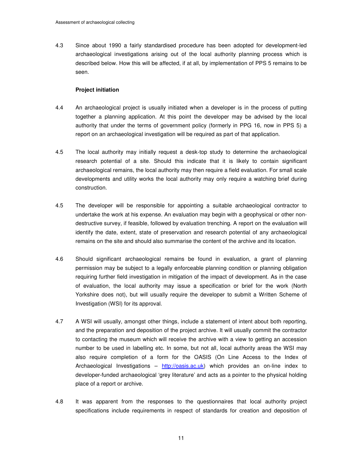4.3 Since about 1990 a fairly standardised procedure has been adopted for development-led archaeological investigations arising out of the local authority planning process which is described below. How this will be affected, if at all, by implementation of PPS 5 remains to be seen.

#### **Project initiation**

- 4.4 An archaeological project is usually initiated when a developer is in the process of putting together a planning application. At this point the developer may be advised by the local authority that under the terms of government policy (formerly in PPG 16, now in PPS 5) a report on an archaeological investigation will be required as part of that application.
- 4.5 The local authority may initially request a desk-top study to determine the archaeological research potential of a site. Should this indicate that it is likely to contain significant archaeological remains, the local authority may then require a field evaluation. For small scale developments and utility works the local authority may only require a watching brief during construction.
- 4.5 The developer will be responsible for appointing a suitable archaeological contractor to undertake the work at his expense. An evaluation may begin with a geophysical or other nondestructive survey, if feasible, followed by evaluation trenching. A report on the evaluation will identify the date, extent, state of preservation and research potential of any archaeological remains on the site and should also summarise the content of the archive and its location.
- 4.6 Should significant archaeological remains be found in evaluation, a grant of planning permission may be subject to a legally enforceable planning condition or planning obligation requiring further field investigation in mitigation of the impact of development. As in the case of evaluation, the local authority may issue a specification or brief for the work (North Yorkshire does not), but will usually require the developer to submit a Written Scheme of Investigation (WSI) for its approval.
- 4.7 A WSI will usually, amongst other things, include a statement of intent about both reporting, and the preparation and deposition of the project archive. It will usually commit the contractor to contacting the museum which will receive the archive with a view to getting an accession number to be used in labelling etc. In some, but not all, local authority areas the WSI may also require completion of a form for the OASIS (On Line Access to the Index of Archaeological Investigations –  $\frac{http://oasis.ac.uk)}{http://oasis.ac.uk)}$  which provides an on-line index to developer-funded archaeological 'grey literature' and acts as a pointer to the physical holding place of a report or archive.
- 4.8 It was apparent from the responses to the questionnaires that local authority project specifications include requirements in respect of standards for creation and deposition of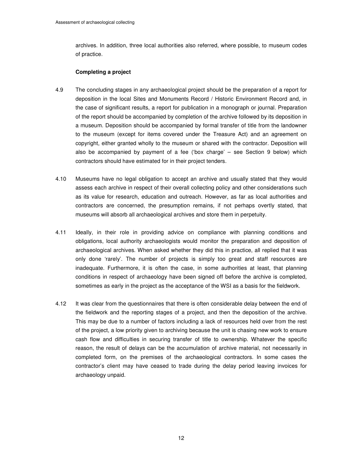archives. In addition, three local authorities also referred, where possible, to museum codes of practice.

#### **Completing a project**

- 4.9 The concluding stages in any archaeological project should be the preparation of a report for deposition in the local Sites and Monuments Record / Historic Environment Record and, in the case of significant results, a report for publication in a monograph or journal. Preparation of the report should be accompanied by completion of the archive followed by its deposition in a museum. Deposition should be accompanied by formal transfer of title from the landowner to the museum (except for items covered under the Treasure Act) and an agreement on copyright, either granted wholly to the museum or shared with the contractor. Deposition will also be accompanied by payment of a fee ('box charge' – see Section 9 below) which contractors should have estimated for in their project tenders.
- 4.10 Museums have no legal obligation to accept an archive and usually stated that they would assess each archive in respect of their overall collecting policy and other considerations such as its value for research, education and outreach. However, as far as local authorities and contractors are concerned, the presumption remains, if not perhaps overtly stated, that museums will absorb all archaeological archives and store them in perpetuity.
- 4.11 Ideally, in their role in providing advice on compliance with planning conditions and obligations, local authority archaeologists would monitor the preparation and deposition of archaeological archives. When asked whether they did this in practice, all replied that it was only done 'rarely'. The number of projects is simply too great and staff resources are inadequate. Furthermore, it is often the case, in some authorities at least, that planning conditions in respect of archaeology have been signed off before the archive is completed, sometimes as early in the project as the acceptance of the WSI as a basis for the fieldwork.
- 4.12 It was clear from the questionnaires that there is often considerable delay between the end of the fieldwork and the reporting stages of a project, and then the deposition of the archive. This may be due to a number of factors including a lack of resources held over from the rest of the project, a low priority given to archiving because the unit is chasing new work to ensure cash flow and difficulties in securing transfer of title to ownership. Whatever the specific reason, the result of delays can be the accumulation of archive material, not necessarily in completed form, on the premises of the archaeological contractors. In some cases the contractor's client may have ceased to trade during the delay period leaving invoices for archaeology unpaid.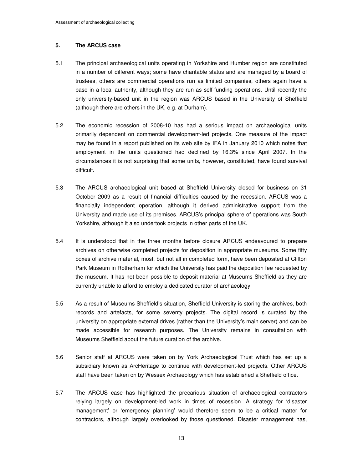#### **5. The ARCUS case**

- 5.1 The principal archaeological units operating in Yorkshire and Humber region are constituted in a number of different ways; some have charitable status and are managed by a board of trustees, others are commercial operations run as limited companies, others again have a base in a local authority, although they are run as self-funding operations. Until recently the only university-based unit in the region was ARCUS based in the University of Sheffield (although there are others in the UK, e.g. at Durham).
- 5.2 The economic recession of 2008-10 has had a serious impact on archaeological units primarily dependent on commercial development-led projects. One measure of the impact may be found in a report published on its web site by IFA in January 2010 which notes that employment in the units questioned had declined by 16.3% since April 2007. In the circumstances it is not surprising that some units, however, constituted, have found survival difficult.
- 5.3 The ARCUS archaeological unit based at Sheffield University closed for business on 31 October 2009 as a result of financial difficulties caused by the recession. ARCUS was a financially independent operation, although it derived administrative support from the University and made use of its premises. ARCUS's principal sphere of operations was South Yorkshire, although it also undertook projects in other parts of the UK.
- 5.4 It is understood that in the three months before closure ARCUS endeavoured to prepare archives on otherwise completed projects for deposition in appropriate museums. Some fifty boxes of archive material, most, but not all in completed form, have been deposited at Clifton Park Museum in Rotherham for which the University has paid the deposition fee requested by the museum. It has not been possible to deposit material at Museums Sheffield as they are currently unable to afford to employ a dedicated curator of archaeology.
- 5.5 As a result of Museums Sheffield's situation, Sheffield University is storing the archives, both records and artefacts, for some seventy projects. The digital record is curated by the university on appropriate external drives (rather than the University's main server) and can be made accessible for research purposes. The University remains in consultation with Museums Sheffield about the future curation of the archive.
- 5.6 Senior staff at ARCUS were taken on by York Archaeological Trust which has set up a subsidiary known as ArcHeritage to continue with development-led projects. Other ARCUS staff have been taken on by Wessex Archaeology which has established a Sheffield office.
- 5.7 The ARCUS case has highlighted the precarious situation of archaeological contractors relying largely on development-led work in times of recession. A strategy for 'disaster management' or 'emergency planning' would therefore seem to be a critical matter for contractors, although largely overlooked by those questioned. Disaster management has,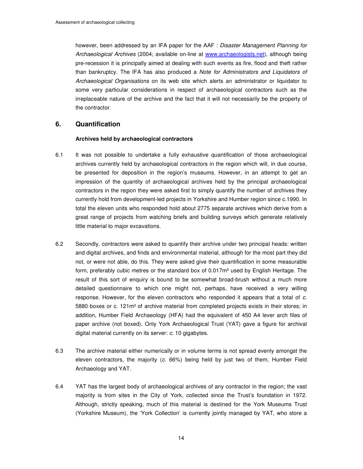however, been addressed by an IFA paper for the AAF : Disaster Management Planning for Archaeological Archives (2004; available on-line at www.archaeologists.net), although being pre-recession it is principally aimed at dealing with such events as fire, flood and theft rather than bankruptcy. The IFA has also produced a Note for Administrators and Liquidators of Archaeological Organisations on its web site which alerts an administrator or liquidator to some very particular considerations in respect of archaeological contractors such as the irreplaceable nature of the archive and the fact that it will not necessarily be the property of the contractor.

#### **6. Quantification**

#### **Archives held by archaeological contractors**

- 6.1 It was not possible to undertake a fully exhaustive quantification of those archaeological archives currently held by archaeological contractors in the region which will, in due course, be presented for deposition in the region's museums. However, in an attempt to get an impression of the quantity of archaeological archives held by the principal archaeological contractors in the region they were asked first to simply quantify the number of archives they currently hold from development-led projects in Yorkshire and Humber region since c.1990. In total the eleven units who responded hold about 2775 separate archives which derive from a great range of projects from watching briefs and building surveys which generate relatively little material to major excavations.
- 6.2 Secondly, contractors were asked to quantify their archive under two principal heads: written and digital archives, and finds and environmental material, although for the most part they did not, or were not able, do this. They were asked give their quantification in some measurable form, preferably cubic metres or the standard box of  $0.017m<sup>3</sup>$  used by English Heritage. The result of this sort of enquiry is bound to be somewhat broad-brush without a much more detailed questionnaire to which one might not, perhaps, have received a very willing response. However, for the eleven contractors who responded it appears that a total of c. 5880 boxes or c. 121m<sup>3</sup> of archive material from completed projects exists in their stores; in addition, Humber Field Archaeology (HFA) had the equivalent of 450 A4 lever arch files of paper archive (not boxed). Only York Archaeological Trust (YAT) gave a figure for archival digital material currently on its server: c. 10 gigabytes.
- 6.3 The archive material either numerically or in volume terms is not spread evenly amongst the eleven contractors, the majority (c. 66%) being held by just two of them, Humber Field Archaeology and YAT.
- 6.4 YAT has the largest body of archaeological archives of any contractor in the region; the vast majority is from sites in the City of York, collected since the Trust's foundation in 1972. Although, strictly speaking, much of this material is destined for the York Museums Trust (Yorkshire Museum), the 'York Collection' is currently jointly managed by YAT, who store a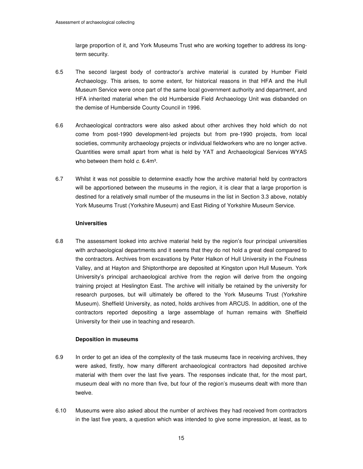large proportion of it, and York Museums Trust who are working together to address its longterm security.

- 6.5 The second largest body of contractor's archive material is curated by Humber Field Archaeology. This arises, to some extent, for historical reasons in that HFA and the Hull Museum Service were once part of the same local government authority and department, and HFA inherited material when the old Humberside Field Archaeology Unit was disbanded on the demise of Humberside County Council in 1996.
- 6.6 Archaeological contractors were also asked about other archives they hold which do not come from post-1990 development-led projects but from pre-1990 projects, from local societies, community archaeology projects or individual fieldworkers who are no longer active. Quantities were small apart from what is held by YAT and Archaeological Services WYAS who between them hold  $c$ , 6.4m<sup>3</sup>.
- 6.7 Whilst it was not possible to determine exactly how the archive material held by contractors will be apportioned between the museums in the region, it is clear that a large proportion is destined for a relatively small number of the museums in the list in Section 3.3 above, notably York Museums Trust (Yorkshire Museum) and East Riding of Yorkshire Museum Service.

#### **Universities**

6.8 The assessment looked into archive material held by the region's four principal universities with archaeological departments and it seems that they do not hold a great deal compared to the contractors. Archives from excavations by Peter Halkon of Hull University in the Foulness Valley, and at Hayton and Shiptonthorpe are deposited at Kingston upon Hull Museum. York University's principal archaeological archive from the region will derive from the ongoing training project at Heslington East. The archive will initially be retained by the university for research purposes, but will ultimately be offered to the York Museums Trust (Yorkshire Museum). Sheffield University, as noted, holds archives from ARCUS. In addition, one of the contractors reported depositing a large assemblage of human remains with Sheffield University for their use in teaching and research.

#### **Deposition in museums**

- 6.9 In order to get an idea of the complexity of the task museums face in receiving archives, they were asked, firstly, how many different archaeological contractors had deposited archive material with them over the last five years. The responses indicate that, for the most part, museum deal with no more than five, but four of the region's museums dealt with more than twelve.
- 6.10 Museums were also asked about the number of archives they had received from contractors in the last five years, a question which was intended to give some impression, at least, as to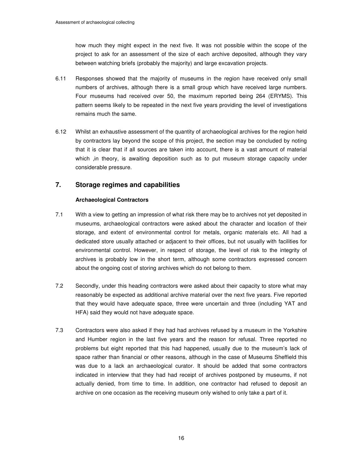how much they might expect in the next five. It was not possible within the scope of the project to ask for an assessment of the size of each archive deposited, although they vary between watching briefs (probably the majority) and large excavation projects.

- 6.11 Responses showed that the majority of museums in the region have received only small numbers of archives, although there is a small group which have received large numbers. Four museums had received over 50, the maximum reported being 264 (ERYMS). This pattern seems likely to be repeated in the next five years providing the level of investigations remains much the same.
- 6.12 Whilst an exhaustive assessment of the quantity of archaeological archives for the region held by contractors lay beyond the scope of this project, the section may be concluded by noting that it is clear that if all sources are taken into account, there is a vast amount of material which ,in theory, is awaiting deposition such as to put museum storage capacity under considerable pressure.

# **7. Storage regimes and capabilities**

#### **Archaeological Contractors**

- 7.1 With a view to getting an impression of what risk there may be to archives not yet deposited in museums, archaeological contractors were asked about the character and location of their storage, and extent of environmental control for metals, organic materials etc. All had a dedicated store usually attached or adjacent to their offices, but not usually with facilities for environmental control. However, in respect of storage, the level of risk to the integrity of archives is probably low in the short term, although some contractors expressed concern about the ongoing cost of storing archives which do not belong to them.
- 7.2 Secondly, under this heading contractors were asked about their capacity to store what may reasonably be expected as additional archive material over the next five years. Five reported that they would have adequate space, three were uncertain and three (including YAT and HFA) said they would not have adequate space.
- 7.3 Contractors were also asked if they had had archives refused by a museum in the Yorkshire and Humber region in the last five years and the reason for refusal. Three reported no problems but eight reported that this had happened, usually due to the museum's lack of space rather than financial or other reasons, although in the case of Museums Sheffield this was due to a lack an archaeological curator. It should be added that some contractors indicated in interview that they had had receipt of archives postponed by museums, if not actually denied, from time to time. In addition, one contractor had refused to deposit an archive on one occasion as the receiving museum only wished to only take a part of it.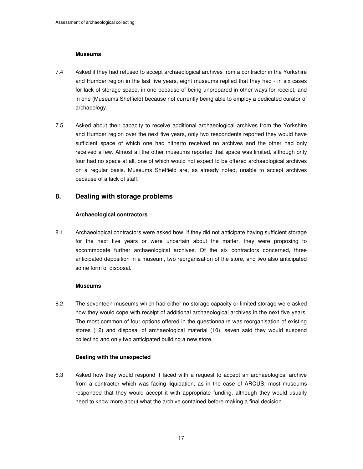#### **Museums**

- 7.4 Asked if they had refused to accept archaeological archives from a contractor in the Yorkshire and Humber region in the last five years, eight museums replied that they had - in six cases for lack of storage space, in one because of being unprepared in other ways for receipt, and in one (Museums Sheffield) because not currently being able to employ a dedicated curator of archaeology.
- 7.5 Asked about their capacity to receive additional archaeological archives from the Yorkshire and Humber region over the next five years, only two respondents reported they would have sufficient space of which one had hitherto received no archives and the other had only received a few. Almost all the other museums reported that space was limited, although only four had no space at all, one of which would not expect to be offered archaeological archives on a regular basis. Museums Sheffield are, as already noted, unable to accept archives because of a lack of staff.

### **8. Dealing with storage problems**

#### **Archaeological contractors**

8.1 Archaeological contractors were asked how, if they did not anticipate having sufficient storage for the next five years or were uncertain about the matter, they were proposing to accommodate further archaeological archives. Of the six contractors concerned, three anticipated deposition in a museum, two reorganisation of the store, and two also anticipated some form of disposal.

#### **Museums**

8.2 The seventeen museums which had either no storage capacity or limited storage were asked how they would cope with receipt of additional archaeological archives in the next five years. The most common of four options offered in the questionnaire was reorganisation of existing stores (12) and disposal of archaeological material (10), seven said they would suspend collecting and only two anticipated building a new store.

#### **Dealing with the unexpected**

8.3 Asked how they would respond if faced with a request to accept an archaeological archive from a contractor which was facing liquidation, as in the case of ARCUS, most museums responded that they would accept it with appropriate funding, although they would usually need to know more about what the archive contained before making a final decision.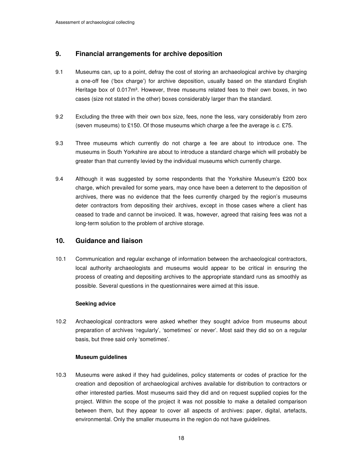# **9. Financial arrangements for archive deposition**

- 9.1 Museums can, up to a point, defray the cost of storing an archaeological archive by charging a one-off fee ('box charge') for archive deposition, usually based on the standard English Heritage box of 0.017m<sup>3</sup>. However, three museums related fees to their own boxes, in two cases (size not stated in the other) boxes considerably larger than the standard.
- 9.2 Excluding the three with their own box size, fees, none the less, vary considerably from zero (seven museums) to £150. Of those museums which charge a fee the average is c. £75.
- 9.3 Three museums which currently do not charge a fee are about to introduce one. The museums in South Yorkshire are about to introduce a standard charge which will probably be greater than that currently levied by the individual museums which currently charge.
- 9.4 Although it was suggested by some respondents that the Yorkshire Museum's £200 box charge, which prevailed for some years, may once have been a deterrent to the deposition of archives, there was no evidence that the fees currently charged by the region's museums deter contractors from depositing their archives, except in those cases where a client has ceased to trade and cannot be invoiced. It was, however, agreed that raising fees was not a long-term solution to the problem of archive storage.

# **10. Guidance and liaison**

10.1 Communication and regular exchange of information between the archaeological contractors, local authority archaeologists and museums would appear to be critical in ensuring the process of creating and depositing archives to the appropriate standard runs as smoothly as possible. Several questions in the questionnaires were aimed at this issue.

#### **Seeking advice**

10.2 Archaeological contractors were asked whether they sought advice from museums about preparation of archives 'regularly', 'sometimes' or never'. Most said they did so on a regular basis, but three said only 'sometimes'.

#### **Museum guidelines**

10.3 Museums were asked if they had guidelines, policy statements or codes of practice for the creation and deposition of archaeological archives available for distribution to contractors or other interested parties. Most museums said they did and on request supplied copies for the project. Within the scope of the project it was not possible to make a detailed comparison between them, but they appear to cover all aspects of archives: paper, digital, artefacts, environmental. Only the smaller museums in the region do not have guidelines.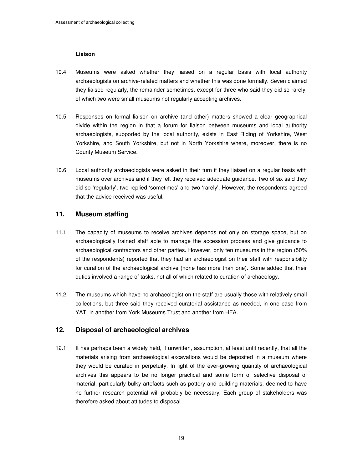#### **Liaison**

- 10.4 Museums were asked whether they liaised on a regular basis with local authority archaeologists on archive-related matters and whether this was done formally. Seven claimed they liaised regularly, the remainder sometimes, except for three who said they did so rarely, of which two were small museums not regularly accepting archives.
- 10.5 Responses on formal liaison on archive (and other) matters showed a clear geographical divide within the region in that a forum for liaison between museums and local authority archaeologists, supported by the local authority, exists in East Riding of Yorkshire, West Yorkshire, and South Yorkshire, but not in North Yorkshire where, moreover, there is no County Museum Service.
- 10.6 Local authority archaeologists were asked in their turn if they liaised on a regular basis with museums over archives and if they felt they received adequate guidance. Two of six said they did so 'regularly', two replied 'sometimes' and two 'rarely'. However, the respondents agreed that the advice received was useful.

# **11. Museum staffing**

- 11.1 The capacity of museums to receive archives depends not only on storage space, but on archaeologically trained staff able to manage the accession process and give guidance to archaeological contractors and other parties. However, only ten museums in the region (50% of the respondents) reported that they had an archaeologist on their staff with responsibility for curation of the archaeological archive (none has more than one). Some added that their duties involved a range of tasks, not all of which related to curation of archaeology.
- 11.2 The museums which have no archaeologist on the staff are usually those with relatively small collections, but three said they received curatorial assistance as needed, in one case from YAT, in another from York Museums Trust and another from HFA.

# **12. Disposal of archaeological archives**

12.1 It has perhaps been a widely held, if unwritten, assumption, at least until recently, that all the materials arising from archaeological excavations would be deposited in a museum where they would be curated in perpetuity. In light of the ever-growing quantity of archaeological archives this appears to be no longer practical and some form of selective disposal of material, particularly bulky artefacts such as pottery and building materials, deemed to have no further research potential will probably be necessary. Each group of stakeholders was therefore asked about attitudes to disposal.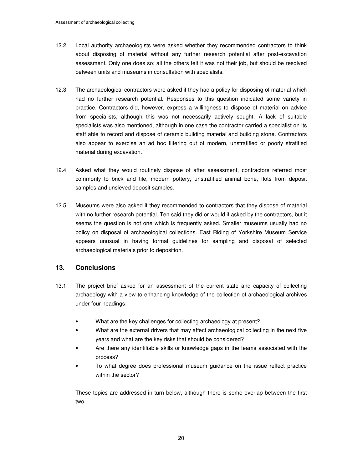- 12.2 Local authority archaeologists were asked whether they recommended contractors to think about disposing of material without any further research potential after post-excavation assessment. Only one does so; all the others felt it was not their job, but should be resolved between units and museums in consultation with specialists.
- 12.3 The archaeological contractors were asked if they had a policy for disposing of material which had no further research potential. Responses to this question indicated some variety in practice. Contractors did, however, express a willingness to dispose of material on advice from specialists, although this was not necessarily actively sought. A lack of suitable specialists was also mentioned, although in one case the contractor carried a specialist on its staff able to record and dispose of ceramic building material and building stone. Contractors also appear to exercise an ad hoc filtering out of modern, unstratified or poorly stratified material during excavation.
- 12.4 Asked what they would routinely dispose of after assessment, contractors referred most commonly to brick and tile, modern pottery, unstratified animal bone, flots from deposit samples and unsieved deposit samples.
- 12.5 Museums were also asked if they recommended to contractors that they dispose of material with no further research potential. Ten said they did or would if asked by the contractors, but it seems the question is not one which is frequently asked. Smaller museums usually had no policy on disposal of archaeological collections. East Riding of Yorkshire Museum Service appears unusual in having formal guidelines for sampling and disposal of selected archaeological materials prior to deposition.

# **13. Conclusions**

- 13.1 The project brief asked for an assessment of the current state and capacity of collecting archaeology with a view to enhancing knowledge of the collection of archaeological archives under four headings:
	- What are the key challenges for collecting archaeology at present?
	- What are the external drivers that may affect archaeological collecting in the next five years and what are the key risks that should be considered?
	- Are there any identifiable skills or knowledge gaps in the teams associated with the process?
	- To what degree does professional museum guidance on the issue reflect practice within the sector?

These topics are addressed in turn below, although there is some overlap between the first two.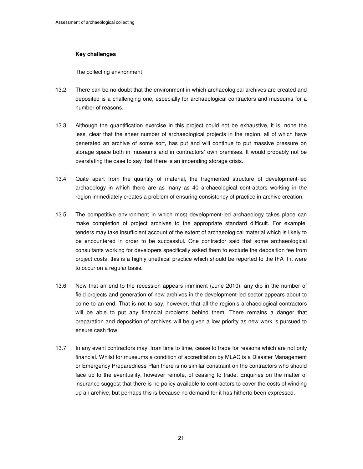#### **Key challenges**

The collecting environment

- 13.2 There can be no doubt that the environment in which archaeological archives are created and deposited is a challenging one, especially for archaeological contractors and museums for a number of reasons.
- 13.3 Although the quantification exercise in this project could not be exhaustive, it is, none the less, clear that the sheer number of archaeological projects in the region, all of which have generated an archive of some sort, has put and will continue to put massive pressure on storage space both in museums and in contractors' own premises. It would probably not be overstating the case to say that there is an impending storage crisis.
- 13.4 Quite apart from the quantity of material, the fragmented structure of development-led archaeology in which there are as many as 40 archaeological contractors working in the region immediately creates a problem of ensuring consistency of practice in archive creation.
- 13.5 The competitive environment in which most development-led archaeology takes place can make completion of project archives to the appropriate standard difficult. For example, tenders may take insufficient account of the extent of archaeological material which is likely to be encountered in order to be successful. One contractor said that some archaeological consultants working for developers specifically asked them to exclude the deposition fee from project costs; this is a highly unethical practice which should be reported to the IFA if it were to occur on a regular basis.
- 13.6 Now that an end to the recession appears imminent (June 2010), any dip in the number of field projects and generation of new archives in the development-led sector appears about to come to an end. That is not to say, however, that all the region's archaeological contractors will be able to put any financial problems behind them. There remains a danger that preparation and deposition of archives will be given a low priority as new work is pursued to ensure cash flow.
- 13.7 In any event contractors may, from time to time, cease to trade for reasons which are not only financial. Whilst for museums a condition of accreditation by MLAC is a Disaster Management or Emergency Preparedness Plan there is no similar constraint on the contractors who should face up to the eventuality, however remote, of ceasing to trade. Enquiries on the matter of insurance suggest that there is no policy available to contractors to cover the costs of winding up an archive, but perhaps this is because no demand for it has hitherto been expressed.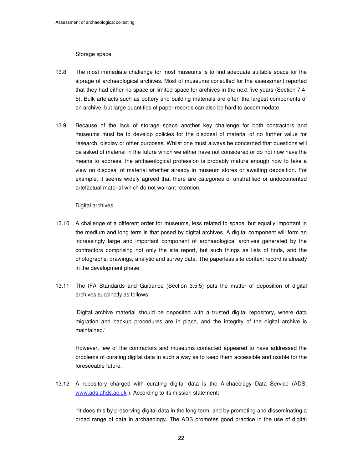#### Storage space

- 13.8 The most immediate challenge for most museums is to find adequate suitable space for the storage of archaeological archives. Most of museums consulted for the assessment reported that they had either no space or limited space for archives in the next five years (Section 7.4- 5). Bulk artefacts such as pottery and building materials are often the largest components of an archive, but large quantities of paper records can also be hard to accommodate.
- 13.9 Because of the lack of storage space another key challenge for both contractors and museums must be to develop policies for the disposal of material of no further value for research, display or other purposes. Whilst one must always be concerned that questions will be asked of material in the future which we either have not considered or do not now have the means to address, the archaeological profession is probably mature enough now to take a view on disposal of material whether already in museum stores or awaiting deposition. For example, it seems widely agreed that there are categories of unstratified or undocumented artefactual material which do not warrant retention.

#### Digital archives

- 13.10 A challenge of a different order for museums, less related to space, but equally important in the medium and long term is that posed by digital archives. A digital component will form an increasingly large and important component of archaeological archives generated by the contractors comprising not only the site report, but such things as lists of finds, and the photographs, drawings, analytic and survey data. The paperless site context record is already in the development phase.
- 13.11 The IFA Standards and Guidance (Section 3.5.5) puts the matter of deposition of digital archives succinctly as follows:

'Digital archive material should be deposited with a trusted digital repository, where data migration and backup procedures are in place, and the integrity of the digital archive is maintained.'

 However, few of the contractors and museums contacted appeared to have addressed the problems of curating digital data in such a way as to keep them accessible and usable for the foreseeable future.

13.12 A repository charged with curating digital data is the Archaeology Data Service (ADS; www.ads.ahds.ac.uk ). According to its mission statement:

 'It does this by preserving digital data in the long term, and by promoting and disseminating a broad range of data in archaeology. The ADS promotes good practice in the use of digital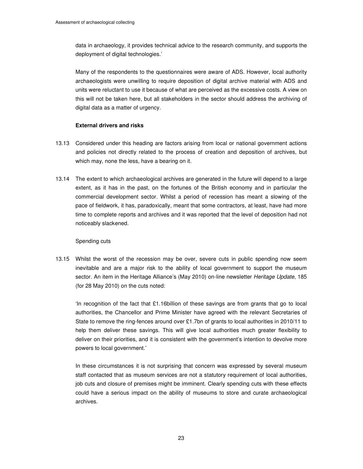data in archaeology, it provides technical advice to the research community, and supports the deployment of digital technologies.'

 Many of the respondents to the questionnaires were aware of ADS. However, local authority archaeologists were unwilling to require deposition of digital archive material with ADS and units were reluctant to use it because of what are perceived as the excessive costs. A view on this will not be taken here, but all stakeholders in the sector should address the archiving of digital data as a matter of urgency.

#### **External drivers and risks**

- 13.13 Considered under this heading are factors arising from local or national government actions and policies not directly related to the process of creation and deposition of archives, but which may, none the less, have a bearing on it.
- 13.14 The extent to which archaeological archives are generated in the future will depend to a large extent, as it has in the past, on the fortunes of the British economy and in particular the commercial development sector. Whilst a period of recession has meant a slowing of the pace of fieldwork, it has, paradoxically, meant that some contractors, at least, have had more time to complete reports and archives and it was reported that the level of deposition had not noticeably slackened.

#### Spending cuts

13.15 Whilst the worst of the recession may be over, severe cuts in public spending now seem inevitable and are a major risk to the ability of local government to support the museum sector. An item in the Heritage Alliance's (May 2010) on-line newsletter Heritage Update, 185 (for 28 May 2010) on the cuts noted:

'In recognition of the fact that  $£1.16$ billion of these savings are from grants that go to local authorities, the Chancellor and Prime Minister have agreed with the relevant Secretaries of State to remove the ring-fences around over £1.7bn of grants to local authorities in 2010/11 to help them deliver these savings. This will give local authorities much greater flexibility to deliver on their priorities, and it is consistent with the government's intention to devolve more powers to local government.'

 In these circumstances it is not surprising that concern was expressed by several museum staff contacted that as museum services are not a statutory requirement of local authorities, job cuts and closure of premises might be imminent. Clearly spending cuts with these effects could have a serious impact on the ability of museums to store and curate archaeological archives.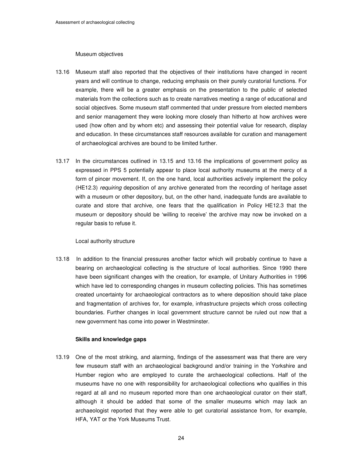#### Museum objectives

- 13.16 Museum staff also reported that the objectives of their institutions have changed in recent years and will continue to change, reducing emphasis on their purely curatorial functions. For example, there will be a greater emphasis on the presentation to the public of selected materials from the collections such as to create narratives meeting a range of educational and social objectives. Some museum staff commented that under pressure from elected members and senior management they were looking more closely than hitherto at how archives were used (how often and by whom etc) and assessing their potential value for research, display and education. In these circumstances staff resources available for curation and management of archaeological archives are bound to be limited further.
- 13.17 In the circumstances outlined in 13.15 and 13.16 the implications of government policy as expressed in PPS 5 potentially appear to place local authority museums at the mercy of a form of pincer movement. If, on the one hand, local authorities actively implement the policy (HE12.3) requiring deposition of any archive generated from the recording of heritage asset with a museum or other depository, but, on the other hand, inadequate funds are available to curate and store that archive, one fears that the qualification in Policy HE12.3 that the museum or depository should be 'willing to receive' the archive may now be invoked on a regular basis to refuse it.

#### Local authority structure

13.18 In addition to the financial pressures another factor which will probably continue to have a bearing on archaeological collecting is the structure of local authorities. Since 1990 there have been significant changes with the creation, for example, of Unitary Authorities in 1996 which have led to corresponding changes in museum collecting policies. This has sometimes created uncertainty for archaeological contractors as to where deposition should take place and fragmentation of archives for, for example, infrastructure projects which cross collecting boundaries. Further changes in local government structure cannot be ruled out now that a new government has come into power in Westminster.

#### **Skills and knowledge gaps**

13.19 One of the most striking, and alarming, findings of the assessment was that there are very few museum staff with an archaeological background and/or training in the Yorkshire and Humber region who are employed to curate the archaeological collections. Half of the museums have no one with responsibility for archaeological collections who qualifies in this regard at all and no museum reported more than one archaeological curator on their staff, although it should be added that some of the smaller museums which may lack an archaeologist reported that they were able to get curatorial assistance from, for example, HFA, YAT or the York Museums Trust.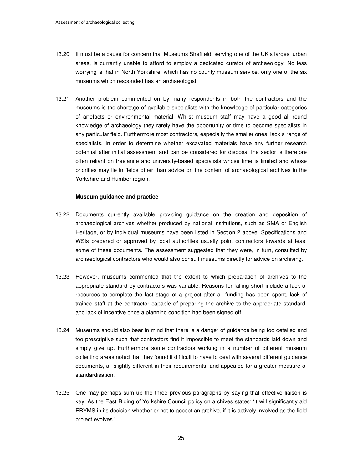- 13.20 It must be a cause for concern that Museums Sheffield, serving one of the UK's largest urban areas, is currently unable to afford to employ a dedicated curator of archaeology. No less worrying is that in North Yorkshire, which has no county museum service, only one of the six museums which responded has an archaeologist.
- 13.21 Another problem commented on by many respondents in both the contractors and the museums is the shortage of available specialists with the knowledge of particular categories of artefacts or environmental material. Whilst museum staff may have a good all round knowledge of archaeology they rarely have the opportunity or time to become specialists in any particular field. Furthermore most contractors, especially the smaller ones, lack a range of specialists. In order to determine whether excavated materials have any further research potential after initial assessment and can be considered for disposal the sector is therefore often reliant on freelance and university-based specialists whose time is limited and whose priorities may lie in fields other than advice on the content of archaeological archives in the Yorkshire and Humber region.

#### **Museum guidance and practice**

- 13.22 Documents currently available providing guidance on the creation and deposition of archaeological archives whether produced by national institutions, such as SMA or English Heritage, or by individual museums have been listed in Section 2 above. Specifications and WSIs prepared or approved by local authorities usually point contractors towards at least some of these documents. The assessment suggested that they were, in turn, consulted by archaeological contractors who would also consult museums directly for advice on archiving.
- 13.23 However, museums commented that the extent to which preparation of archives to the appropriate standard by contractors was variable. Reasons for falling short include a lack of resources to complete the last stage of a project after all funding has been spent, lack of trained staff at the contractor capable of preparing the archive to the appropriate standard, and lack of incentive once a planning condition had been signed off.
- 13.24 Museums should also bear in mind that there is a danger of guidance being too detailed and too prescriptive such that contractors find it impossible to meet the standards laid down and simply give up. Furthermore some contractors working in a number of different museum collecting areas noted that they found it difficult to have to deal with several different guidance documents, all slightly different in their requirements, and appealed for a greater measure of standardisation.
- 13.25 One may perhaps sum up the three previous paragraphs by saying that effective liaison is key. As the East Riding of Yorkshire Council policy on archives states: 'It will significantly aid ERYMS in its decision whether or not to accept an archive, if it is actively involved as the field project evolves.'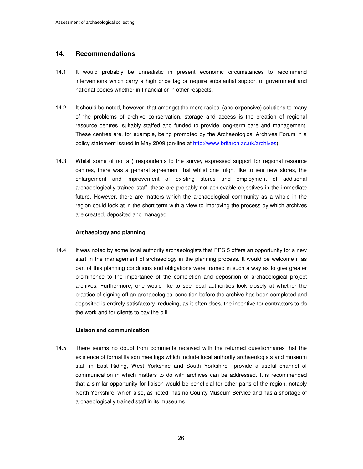# **14. Recommendations**

- 14.1 It would probably be unrealistic in present economic circumstances to recommend interventions which carry a high price tag or require substantial support of government and national bodies whether in financial or in other respects.
- 14.2 It should be noted, however, that amongst the more radical (and expensive) solutions to many of the problems of archive conservation, storage and access is the creation of regional resource centres, suitably staffed and funded to provide long-term care and management. These centres are, for example, being promoted by the Archaeological Archives Forum in a policy statement issued in May 2009 (on-line at http://www.britarch.ac.uk/archives).
- 14.3 Whilst some (if not all) respondents to the survey expressed support for regional resource centres, there was a general agreement that whilst one might like to see new stores, the enlargement and improvement of existing stores and employment of additional archaeologically trained staff, these are probably not achievable objectives in the immediate future. However, there are matters which the archaeological community as a whole in the region could look at in the short term with a view to improving the process by which archives are created, deposited and managed.

#### **Archaeology and planning**

14.4 It was noted by some local authority archaeologists that PPS 5 offers an opportunity for a new start in the management of archaeology in the planning process. It would be welcome if as part of this planning conditions and obligations were framed in such a way as to give greater prominence to the importance of the completion and deposition of archaeological project archives. Furthermore, one would like to see local authorities look closely at whether the practice of signing off an archaeological condition before the archive has been completed and deposited is entirely satisfactory, reducing, as it often does, the incentive for contractors to do the work and for clients to pay the bill.

#### **Liaison and communication**

14.5 There seems no doubt from comments received with the returned questionnaires that the existence of formal liaison meetings which include local authority archaeologists and museum staff in East Riding, West Yorkshire and South Yorkshire provide a useful channel of communication in which matters to do with archives can be addressed. It is recommended that a similar opportunity for liaison would be beneficial for other parts of the region, notably North Yorkshire, which also, as noted, has no County Museum Service and has a shortage of archaeologically trained staff in its museums.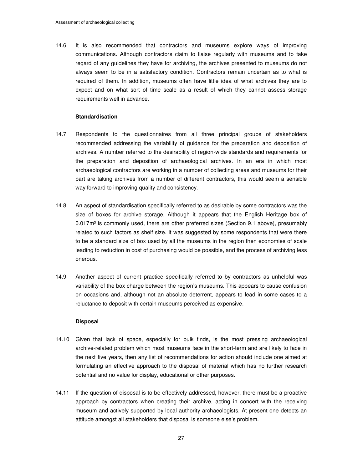14.6 It is also recommended that contractors and museums explore ways of improving communications. Although contractors claim to liaise regularly with museums and to take regard of any guidelines they have for archiving, the archives presented to museums do not always seem to be in a satisfactory condition. Contractors remain uncertain as to what is required of them. In addition, museums often have little idea of what archives they are to expect and on what sort of time scale as a result of which they cannot assess storage requirements well in advance.

#### **Standardisation**

- 14.7 Respondents to the questionnaires from all three principal groups of stakeholders recommended addressing the variability of guidance for the preparation and deposition of archives. A number referred to the desirability of region-wide standards and requirements for the preparation and deposition of archaeological archives. In an era in which most archaeological contractors are working in a number of collecting areas and museums for their part are taking archives from a number of different contractors, this would seem a sensible way forward to improving quality and consistency.
- 14.8 An aspect of standardisation specifically referred to as desirable by some contractors was the size of boxes for archive storage. Although it appears that the English Heritage box of  $0.017<sup>m3</sup>$  is commonly used, there are other preferred sizes (Section 9.1 above), presumably related to such factors as shelf size. It was suggested by some respondents that were there to be a standard size of box used by all the museums in the region then economies of scale leading to reduction in cost of purchasing would be possible, and the process of archiving less onerous.
- 14.9 Another aspect of current practice specifically referred to by contractors as unhelpful was variability of the box charge between the region's museums. This appears to cause confusion on occasions and, although not an absolute deterrent, appears to lead in some cases to a reluctance to deposit with certain museums perceived as expensive.

#### **Disposal**

- 14.10 Given that lack of space, especially for bulk finds, is the most pressing archaeological archive-related problem which most museums face in the short-term and are likely to face in the next five years, then any list of recommendations for action should include one aimed at formulating an effective approach to the disposal of material which has no further research potential and no value for display, educational or other purposes.
- 14.11 If the question of disposal is to be effectively addressed, however, there must be a proactive approach by contractors when creating their archive, acting in concert with the receiving museum and actively supported by local authority archaeologists. At present one detects an attitude amongst all stakeholders that disposal is someone else's problem.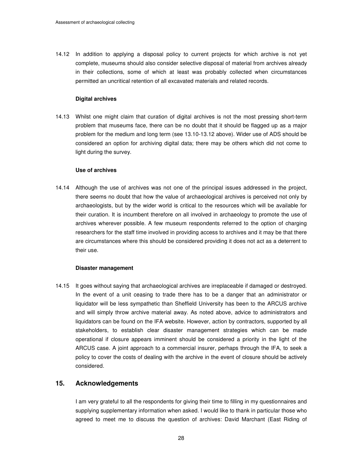14.12 In addition to applying a disposal policy to current projects for which archive is not yet complete, museums should also consider selective disposal of material from archives already in their collections, some of which at least was probably collected when circumstances permitted an uncritical retention of all excavated materials and related records.

#### **Digital archives**

14.13 Whilst one might claim that curation of digital archives is not the most pressing short-term problem that museums face, there can be no doubt that it should be flagged up as a major problem for the medium and long term (see 13.10-13.12 above). Wider use of ADS should be considered an option for archiving digital data; there may be others which did not come to light during the survey.

#### **Use of archives**

14.14 Although the use of archives was not one of the principal issues addressed in the project, there seems no doubt that how the value of archaeological archives is perceived not only by archaeologists, but by the wider world is critical to the resources which will be available for their curation. It is incumbent therefore on all involved in archaeology to promote the use of archives wherever possible. A few museum respondents referred to the option of charging researchers for the staff time involved in providing access to archives and it may be that there are circumstances where this should be considered providing it does not act as a deterrent to their use.

#### **Disaster management**

14.15 It goes without saying that archaeological archives are irreplaceable if damaged or destroyed. In the event of a unit ceasing to trade there has to be a danger that an administrator or liquidator will be less sympathetic than Sheffield University has been to the ARCUS archive and will simply throw archive material away. As noted above, advice to administrators and liquidators can be found on the IFA website. However, action by contractors, supported by all stakeholders, to establish clear disaster management strategies which can be made operational if closure appears imminent should be considered a priority in the light of the ARCUS case. A joint approach to a commercial insurer, perhaps through the IFA, to seek a policy to cover the costs of dealing with the archive in the event of closure should be actively considered.

#### **15. Acknowledgements**

 I am very grateful to all the respondents for giving their time to filling in my questionnaires and supplying supplementary information when asked. I would like to thank in particular those who agreed to meet me to discuss the question of archives: David Marchant (East Riding of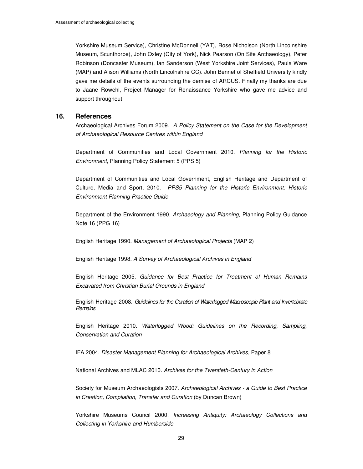Yorkshire Museum Service), Christine McDonnell (YAT), Rose Nicholson (North Lincolnshire Museum, Scunthorpe), John Oxley (City of York), Nick Pearson (On Site Archaeology), Peter Robinson (Doncaster Museum), Ian Sanderson (West Yorkshire Joint Services), Paula Ware (MAP) and Alison Williams (North Lincolnshire CC). John Bennet of Sheffield University kindly gave me details of the events surrounding the demise of ARCUS. Finally my thanks are due to Jaane Rowehl, Project Manager for Renaissance Yorkshire who gave me advice and support throughout.

#### **16. References**

Archaeological Archives Forum 2009. A Policy Statement on the Case for the Development of Archaeological Resource Centres within England

Department of Communities and Local Government 2010. Planning for the Historic Environment, Planning Policy Statement 5 (PPS 5)

Department of Communities and Local Government, English Heritage and Department of Culture, Media and Sport, 2010. PPS5 Planning for the Historic Environment: Historic Environment Planning Practice Guide

Department of the Environment 1990. Archaeology and Planning, Planning Policy Guidance Note 16 (PPG 16)

English Heritage 1990. Management of Archaeological Projects (MAP 2)

English Heritage 1998. A Survey of Archaeological Archives in England

 English Heritage 2005. Guidance for Best Practice for Treatment of Human Remains Excavated from Christian Burial Grounds in England

English Heritage 2008. Guidelines for the Curation of Waterlogged Macroscopic Plant and Invertebrate **Remains** 

 English Heritage 2010. Waterlogged Wood: Guidelines on the Recording, Sampling, Conservation and Curation

IFA 2004. Disaster Management Planning for Archaeological Archives, Paper 8

National Archives and MLAC 2010. Archives for the Twentieth-Century in Action

Society for Museum Archaeologists 2007. Archaeological Archives - a Guide to Best Practice in Creation, Compilation, Transfer and Curation (by Duncan Brown)

Yorkshire Museums Council 2000. Increasing Antiquity: Archaeology Collections and Collecting in Yorkshire and Humberside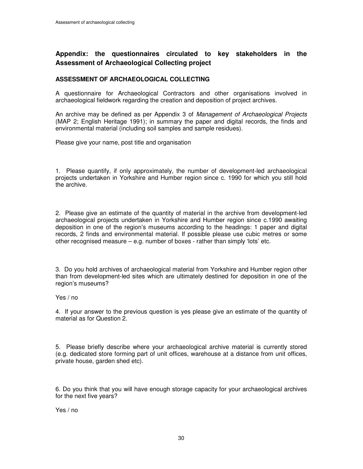# **Appendix: the questionnaires circulated to key stakeholders in the Assessment of Archaeological Collecting project**

### **ASSESSMENT OF ARCHAEOLOGICAL COLLECTING**

A questionnaire for Archaeological Contractors and other organisations involved in archaeological fieldwork regarding the creation and deposition of project archives.

An archive may be defined as per Appendix 3 of Management of Archaeological Projects (MAP 2; English Heritage 1991); in summary the paper and digital records, the finds and environmental material (including soil samples and sample residues).

Please give your name, post title and organisation

1. Please quantify, if only approximately, the number of development-led archaeological projects undertaken in Yorkshire and Humber region since c. 1990 for which you still hold the archive.

2. Please give an estimate of the quantity of material in the archive from development-led archaeological projects undertaken in Yorkshire and Humber region since c.1990 awaiting deposition in one of the region's museums according to the headings: 1 paper and digital records, 2 finds and environmental material. If possible please use cubic metres or some other recognised measure – e.g. number of boxes - rather than simply 'lots' etc.

3. Do you hold archives of archaeological material from Yorkshire and Humber region other than from development-led sites which are ultimately destined for deposition in one of the region's museums?

Yes / no

4. If your answer to the previous question is yes please give an estimate of the quantity of material as for Question 2.

5. Please briefly describe where your archaeological archive material is currently stored (e.g. dedicated store forming part of unit offices, warehouse at a distance from unit offices, private house, garden shed etc).

6. Do you think that you will have enough storage capacity for your archaeological archives for the next five years?

Yes / no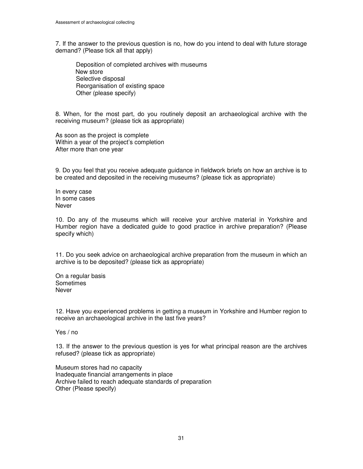7. If the answer to the previous question is no, how do you intend to deal with future storage demand? (Please tick all that apply)

 Deposition of completed archives with museums New store Selective disposal Reorganisation of existing space Other (please specify)

8. When, for the most part, do you routinely deposit an archaeological archive with the receiving museum? (please tick as appropriate)

As soon as the project is complete Within a year of the project's completion After more than one year

9. Do you feel that you receive adequate guidance in fieldwork briefs on how an archive is to be created and deposited in the receiving museums? (please tick as appropriate)

In every case In some cases Never

10. Do any of the museums which will receive your archive material in Yorkshire and Humber region have a dedicated guide to good practice in archive preparation? (Please specify which)

11. Do you seek advice on archaeological archive preparation from the museum in which an archive is to be deposited? (please tick as appropriate)

On a regular basis **Sometimes** Never

12. Have you experienced problems in getting a museum in Yorkshire and Humber region to receive an archaeological archive in the last five years?

Yes / no

13. If the answer to the previous question is yes for what principal reason are the archives refused? (please tick as appropriate)

Museum stores had no capacity Inadequate financial arrangements in place Archive failed to reach adequate standards of preparation Other (Please specify)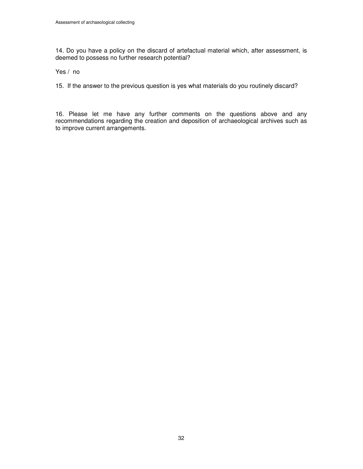14. Do you have a policy on the discard of artefactual material which, after assessment, is deemed to possess no further research potential?

Yes / no

15. If the answer to the previous question is yes what materials do you routinely discard?

16. Please let me have any further comments on the questions above and any recommendations regarding the creation and deposition of archaeological archives such as to improve current arrangements.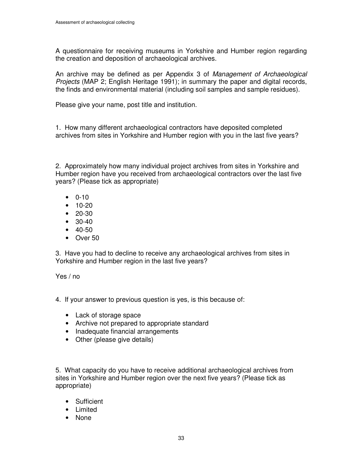A questionnaire for receiving museums in Yorkshire and Humber region regarding the creation and deposition of archaeological archives.

An archive may be defined as per Appendix 3 of Management of Archaeological Projects (MAP 2; English Heritage 1991); in summary the paper and digital records, the finds and environmental material (including soil samples and sample residues).

Please give your name, post title and institution.

1. How many different archaeological contractors have deposited completed archives from sites in Yorkshire and Humber region with you in the last five years?

2. Approximately how many individual project archives from sites in Yorkshire and Humber region have you received from archaeological contractors over the last five years? (Please tick as appropriate)

- 0-10
- 10-20
- 20-30
- 30-40
- $40-50$
- Over 50

3. Have you had to decline to receive any archaeological archives from sites in Yorkshire and Humber region in the last five years?

Yes / no

- 4. If your answer to previous question is yes, is this because of:
	- Lack of storage space
	- Archive not prepared to appropriate standard
	- Inadequate financial arrangements
	- Other (please give details)

5. What capacity do you have to receive additional archaeological archives from sites in Yorkshire and Humber region over the next five years? (Please tick as appropriate)

- Sufficient
- Limited
- None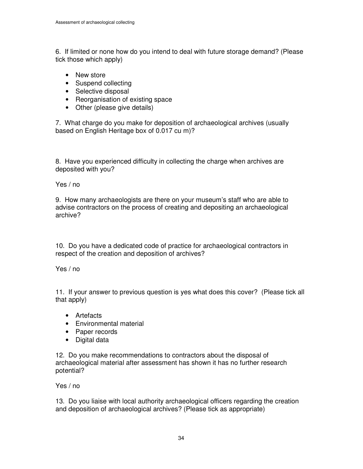6. If limited or none how do you intend to deal with future storage demand? (Please tick those which apply)

- New store
- Suspend collecting
- Selective disposal
- Reorganisation of existing space
- Other (please give details)

7. What charge do you make for deposition of archaeological archives (usually based on English Heritage box of 0.017 cu m)?

8. Have you experienced difficulty in collecting the charge when archives are deposited with you?

Yes / no

9. How many archaeologists are there on your museum's staff who are able to advise contractors on the process of creating and depositing an archaeological archive?

10. Do you have a dedicated code of practice for archaeological contractors in respect of the creation and deposition of archives?

Yes / no

11. If your answer to previous question is yes what does this cover? (Please tick all that apply)

- Artefacts
- Environmental material
- Paper records
- Digital data

12. Do you make recommendations to contractors about the disposal of archaeological material after assessment has shown it has no further research potential?

Yes / no

13. Do you liaise with local authority archaeological officers regarding the creation and deposition of archaeological archives? (Please tick as appropriate)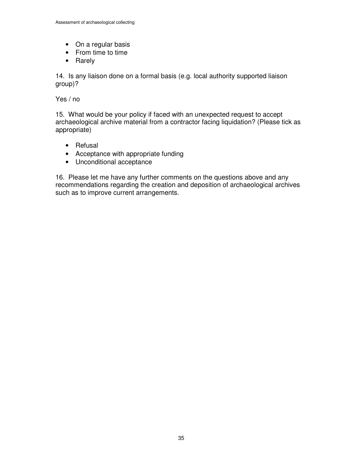- On a regular basis
- From time to time
- Rarely

14. Is any liaison done on a formal basis (e.g. local authority supported liaison group)?

Yes / no

15. What would be your policy if faced with an unexpected request to accept archaeological archive material from a contractor facing liquidation? (Please tick as appropriate)

- Refusal
- Acceptance with appropriate funding
- Unconditional acceptance

16. Please let me have any further comments on the questions above and any recommendations regarding the creation and deposition of archaeological archives such as to improve current arrangements.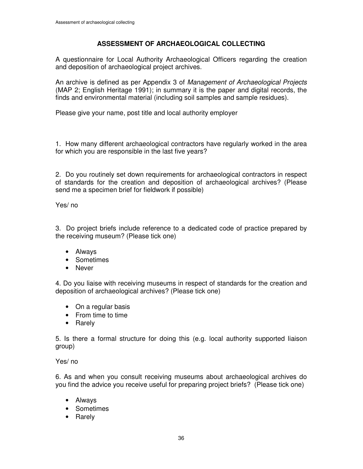# **ASSESSMENT OF ARCHAEOLOGICAL COLLECTING**

A questionnaire for Local Authority Archaeological Officers regarding the creation and deposition of archaeological project archives.

An archive is defined as per Appendix 3 of Management of Archaeological Projects (MAP 2; English Heritage 1991); in summary it is the paper and digital records, the finds and environmental material (including soil samples and sample residues).

Please give your name, post title and local authority employer

1. How many different archaeological contractors have regularly worked in the area for which you are responsible in the last five years?

2. Do you routinely set down requirements for archaeological contractors in respect of standards for the creation and deposition of archaeological archives? (Please send me a specimen brief for fieldwork if possible)

Yes/ no

3. Do project briefs include reference to a dedicated code of practice prepared by the receiving museum? (Please tick one)

- Always
- Sometimes
- Never

4. Do you liaise with receiving museums in respect of standards for the creation and deposition of archaeological archives? (Please tick one)

- On a regular basis
- From time to time
- Rarely

5. Is there a formal structure for doing this (e.g. local authority supported liaison group)

Yes/ no

6. As and when you consult receiving museums about archaeological archives do you find the advice you receive useful for preparing project briefs? (Please tick one)

- Always
- Sometimes
- Rarely